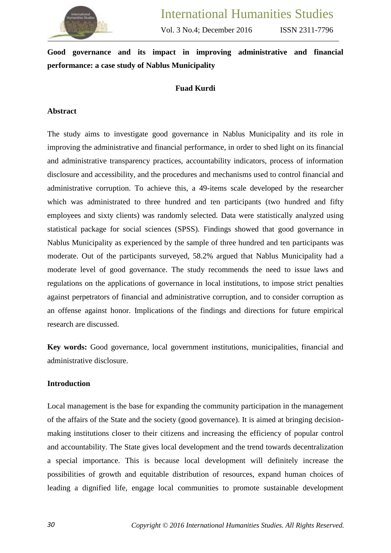

# **Good governance and its impact in improving administrative and financial performance: a case study of Nablus Municipality**

# **Fuad Kurdi**

#### **Abstract**

The study aims to investigate good governance in Nablus Municipality and its role in improving the administrative and financial performance, in order to shed light on its financial and administrative transparency practices, accountability indicators, process of information disclosure and accessibility, and the procedures and mechanisms used to control financial and administrative corruption. To achieve this, a 49-items scale developed by the researcher which was administrated to three hundred and ten participants (two hundred and fifty employees and sixty clients) was randomly selected. Data were statistically analyzed using statistical package for social sciences (SPSS). Findings showed that good governance in Nablus Municipality as experienced by the sample of three hundred and ten participants was moderate. Out of the participants surveyed, 58.2% argued that Nablus Municipality had a moderate level of good governance. The study recommends the need to issue laws and regulations on the applications of governance in local institutions, to impose strict penalties against perpetrators of financial and administrative corruption, and to consider corruption as an offense against honor. Implications of the findings and directions for future empirical research are discussed.

**Key words:** Good governance, local government institutions, municipalities, financial and administrative disclosure.

#### **Introduction**

Local management is the base for expanding the community participation in the management of the affairs of the State and the society (good governance). It is aimed at bringing decisionmaking institutions closer to their citizens and increasing the efficiency of popular control and accountability. The State gives local development and the trend towards decentralization a special importance. This is because local development will definitely increase the possibilities of growth and equitable distribution of resources, expand human choices of leading a dignified life, engage local communities to promote sustainable development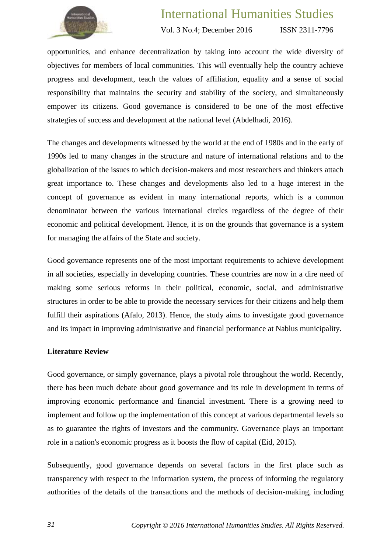

ISSN 2311-7796

opportunities, and enhance decentralization by taking into account the wide diversity of objectives for members of local communities. This will eventually help the country achieve progress and development, teach the values of affiliation, equality and a sense of social responsibility that maintains the security and stability of the society, and simultaneously empower its citizens. Good governance is considered to be one of the most effective strategies of success and development at the national level (Abdelhadi, 2016).

The changes and developments witnessed by the world at the end of 1980s and in the early of 1990s led to many changes in the structure and nature of international relations and to the globalization of the issues to which decision-makers and most researchers and thinkers attach great importance to. These changes and developments also led to a huge interest in the concept of governance as evident in many international reports, which is a common denominator between the various international circles regardless of the degree of their economic and political development. Hence, it is on the grounds that governance is a system for managing the affairs of the State and society.

Good governance represents one of the most important requirements to achieve development in all societies, especially in developing countries. These countries are now in a dire need of making some serious reforms in their political, economic, social, and administrative structures in order to be able to provide the necessary services for their citizens and help them fulfill their aspirations (Afalo, 2013). Hence, the study aims to investigate good governance and its impact in improving administrative and financial performance at Nablus municipality.

#### **Literature Review**

Good governance, or simply governance, plays a pivotal role throughout the world. Recently, there has been much debate about good governance and its role in development in terms of improving economic performance and financial investment. There is a growing need to implement and follow up the implementation of this concept at various departmental levels so as to guarantee the rights of investors and the community. Governance plays an important role in a nation's economic progress as it boosts the flow of capital (Eid, 2015).

Subsequently, good governance depends on several factors in the first place such as transparency with respect to the information system, the process of informing the regulatory authorities of the details of the transactions and the methods of decision-making, including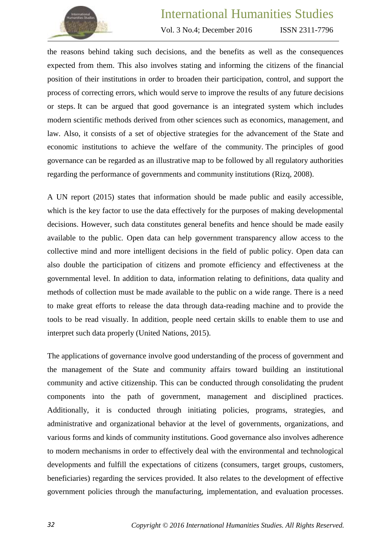

Vol. 3 No.4; December 2016

ISSN 2311-7796

the reasons behind taking such decisions, and the benefits as well as the consequences expected from them. This also involves stating and informing the citizens of the financial position of their institutions in order to broaden their participation, control, and support the process of correcting errors, which would serve to improve the results of any future decisions or steps. It can be argued that good governance is an integrated system which includes modern scientific methods derived from other sciences such as economics, management, and law. Also, it consists of a set of objective strategies for the advancement of the State and economic institutions to achieve the welfare of the community. The principles of good governance can be regarded as an illustrative map to be followed by all regulatory authorities regarding the performance of governments and community institutions (Rizq, 2008).

A UN report (2015) states that information should be made public and easily accessible, which is the key factor to use the data effectively for the purposes of making developmental decisions. However, such data constitutes general benefits and hence should be made easily available to the public. Open data can help government transparency allow access to the collective mind and more intelligent decisions in the field of public policy. Open data can also double the participation of citizens and promote efficiency and effectiveness at the governmental level. In addition to data, information relating to definitions, data quality and methods of collection must be made available to the public on a wide range. There is a need to make great efforts to release the data through data-reading machine and to provide the tools to be read visually. In addition, people need certain skills to enable them to use and interpret such data properly (United Nations, 2015).

The applications of governance involve good understanding of the process of government and the management of the State and community affairs toward building an institutional community and active citizenship. This can be conducted through consolidating the prudent components into the path of government, management and disciplined practices. Additionally, it is conducted through initiating policies, programs, strategies, and administrative and organizational behavior at the level of governments, organizations, and various forms and kinds of community institutions. Good governance also involves adherence to modern mechanisms in order to effectively deal with the environmental and technological developments and fulfill the expectations of citizens (consumers, target groups, customers, beneficiaries) regarding the services provided. It also relates to the development of effective government policies through the manufacturing, implementation, and evaluation processes.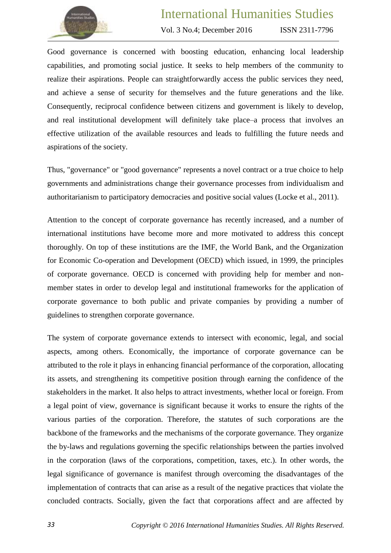

Vol. 3 No.4; December 2016

ISSN 2311-7796

Good governance is concerned with boosting education, enhancing local leadership capabilities, and promoting social justice. It seeks to help members of the community to realize their aspirations. People can straightforwardly access the public services they need, and achieve a sense of security for themselves and the future generations and the like. Consequently, reciprocal confidence between citizens and government is likely to develop, and real institutional development will definitely take place–a process that involves an effective utilization of the available resources and leads to fulfilling the future needs and aspirations of the society.

Thus, "governance" or "good governance" represents a novel contract or a true choice to help governments and administrations change their governance processes from individualism and authoritarianism to participatory democracies and positive social values (Locke et al., 2011).

Attention to the concept of corporate governance has recently increased, and a number of international institutions have become more and more motivated to address this concept thoroughly. On top of these institutions are the IMF, the World Bank, and the Organization for Economic Co-operation and Development (OECD) which issued, in 1999, the principles of corporate governance. OECD is concerned with providing help for member and nonmember states in order to develop legal and institutional frameworks for the application of corporate governance to both public and private companies by providing a number of guidelines to strengthen corporate governance.

The system of corporate governance extends to intersect with economic, legal, and social aspects, among others. Economically, the importance of corporate governance can be attributed to the role it plays in enhancing financial performance of the corporation, allocating its assets, and strengthening its competitive position through earning the confidence of the stakeholders in the market. It also helps to attract investments, whether local or foreign. From a legal point of view, governance is significant because it works to ensure the rights of the various parties of the corporation. Therefore, the statutes of such corporations are the backbone of the frameworks and the mechanisms of the corporate governance. They organize the by-laws and regulations governing the specific relationships between the parties involved in the corporation (laws of the corporations, competition, taxes, etc.). In other words, the legal significance of governance is manifest through overcoming the disadvantages of the implementation of contracts that can arise as a result of the negative practices that violate the concluded contracts. Socially, given the fact that corporations affect and are affected by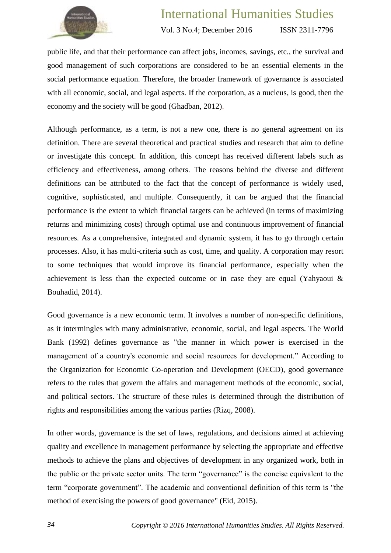

ISSN 2311-7796

public life, and that their performance can affect jobs, incomes, savings, etc., the survival and good management of such corporations are considered to be an essential elements in the social performance equation. Therefore, the broader framework of governance is associated with all economic, social, and legal aspects. If the corporation, as a nucleus, is good, then the economy and the society will be good (Ghadban, 2012).

Although performance, as a term, is not a new one, there is no general agreement on its definition. There are several theoretical and practical studies and research that aim to define or investigate this concept. In addition, this concept has received different labels such as efficiency and effectiveness, among others. The reasons behind the diverse and different definitions can be attributed to the fact that the concept of performance is widely used, cognitive, sophisticated, and multiple. Consequently, it can be argued that the financial performance is the extent to which financial targets can be achieved (in terms of maximizing returns and minimizing costs) through optimal use and continuous improvement of financial resources. As a comprehensive, integrated and dynamic system, it has to go through certain processes. Also, it has multi-criteria such as cost, time, and quality. A corporation may resort to some techniques that would improve its financial performance, especially when the achievement is less than the expected outcome or in case they are equal (Yahyaoui & Bouhadid, 2014).

Good governance is a new economic term. It involves a number of non-specific definitions, as it intermingles with many administrative, economic, social, and legal aspects. The World Bank (1992) defines governance as "the manner in which power is exercised in the management of a country's economic and social resources for development." According to the Organization for Economic Co-operation and Development (OECD), good governance refers to the rules that govern the affairs and management methods of the economic, social, and political sectors. The structure of these rules is determined through the distribution of rights and responsibilities among the various parties (Rizq, 2008).

In other words, governance is the set of laws, regulations, and decisions aimed at achieving quality and excellence in management performance by selecting the appropriate and effective methods to achieve the plans and objectives of development in any organized work, both in the public or the private sector units. The term "governance" is the concise equivalent to the term "corporate government". The academic and conventional definition of this term is "the method of exercising the powers of good governance" (Eid, 2015).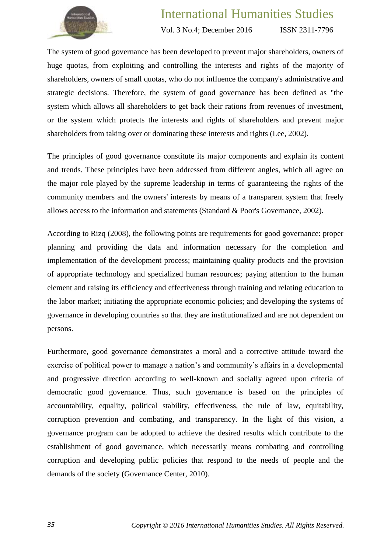

ISSN 2311-7796

The system of good governance has been developed to prevent major shareholders, owners of huge quotas, from exploiting and controlling the interests and rights of the majority of shareholders, owners of small quotas, who do not influence the company's administrative and strategic decisions. Therefore, the system of good governance has been defined as "the system which allows all shareholders to get back their rations from revenues of investment, or the system which protects the interests and rights of shareholders and prevent major shareholders from taking over or dominating these interests and rights (Lee, 2002).

The principles of good governance constitute its major components and explain its content and trends. These principles have been addressed from different angles, which all agree on the major role played by the supreme leadership in terms of guaranteeing the rights of the community members and the owners' interests by means of a transparent system that freely allows access to the information and statements (Standard & Poor's Governance, 2002).

According to Rizq (2008), the following points are requirements for good governance: proper planning and providing the data and information necessary for the completion and implementation of the development process; maintaining quality products and the provision of appropriate technology and specialized human resources; paying attention to the human element and raising its efficiency and effectiveness through training and relating education to the labor market; initiating the appropriate economic policies; and developing the systems of governance in developing countries so that they are institutionalized and are not dependent on persons.

Furthermore, good governance demonstrates a moral and a corrective attitude toward the exercise of political power to manage a nation's and community's affairs in a developmental and progressive direction according to well-known and socially agreed upon criteria of democratic good governance. Thus, such governance is based on the principles of accountability, equality, political stability, effectiveness, the rule of law, equitability, corruption prevention and combating, and transparency. In the light of this vision, a governance program can be adopted to achieve the desired results which contribute to the establishment of good governance, which necessarily means combating and controlling corruption and developing public policies that respond to the needs of people and the demands of the society (Governance Center, 2010).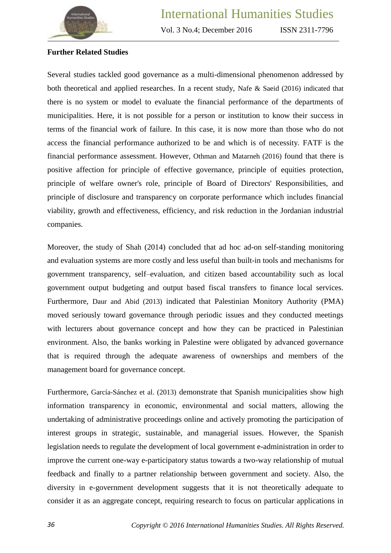

# **Further Related Studies**

Several studies tackled good governance as a multi-dimensional phenomenon addressed by both theoretical and applied researches. In a recent study, Nafe & Saeid (2016) indicated that there is no system or model to evaluate the financial performance of the departments of municipalities. Here, it is not possible for a person or institution to know their success in terms of the financial work of failure. In this case, it is now more than those who do not access the financial performance authorized to be and which is of necessity. FATF is the financial performance assessment. However, Othman and Matarneh (2016) found that there is positive affection for principle of effective governance, principle of equities protection, principle of welfare owner's role, principle of Board of Directors' Responsibilities, and principle of disclosure and transparency on corporate performance which includes financial viability, growth and effectiveness, efficiency, and risk reduction in the Jordanian industrial companies.

Moreover, the study of Shah (2014) concluded that ad hoc ad-on self-standing monitoring and evaluation systems are more costly and less useful than built-in tools and mechanisms for government transparency, self–evaluation, and citizen based accountability such as local government output budgeting and output based fiscal transfers to finance local services. Furthermore, Daur and Abid (2013) indicated that Palestinian Monitory Authority (PMA) moved seriously toward governance through periodic issues and they conducted meetings with lecturers about governance concept and how they can be practiced in Palestinian environment. Also, the banks working in Palestine were obligated by advanced governance that is required through the adequate awareness of ownerships and members of the management board for governance concept.

Furthermore, García-Sánchez et al. (2013) demonstrate that Spanish municipalities show high information transparency in economic, environmental and social matters, allowing the undertaking of administrative proceedings online and actively promoting the participation of interest groups in strategic, sustainable, and managerial issues. However, the Spanish legislation needs to regulate the development of local government e-administration in order to improve the current one-way e-participatory status towards a two-way relationship of mutual feedback and finally to a partner relationship between government and society. Also, the diversity in e-government development suggests that it is not theoretically adequate to consider it as an aggregate concept, requiring research to focus on particular applications in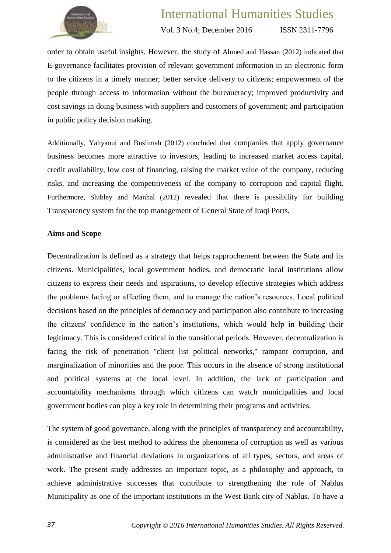

ISSN 2311-7796

order to obtain useful insights. However, the study of Ahmed and Hassan (2012) indicated that E-governance facilitates provision of relevant government information in an electronic form to the citizens in a timely manner; better service delivery to citizens; empowerment of the people through access to information without the bureaucracy; improved productivity and cost savings in doing business with suppliers and customers of government; and participation in public policy decision making.

Additionally, Yahyaoui and Buslimah (2012) concluded that companies that apply governance business becomes more attractive to investors, leading to increased market access capital, credit availability, low cost of financing, raising the market value of the company, reducing risks, and increasing the competitiveness of the company to corruption and capital flight. Furthermore, Shibley and Manhal (2012) revealed that there is possibility for building Transparency system for the top management of General State of Iraqi Ports.

#### **Aims and Scope**

Decentralization is defined as a strategy that helps rapprochement between the State and its citizens. Municipalities, local government bodies, and democratic local institutions allow citizens to express their needs and aspirations, to develop effective strategies which address the problems facing or affecting them, and to manage the nation's resources. Local political decisions based on the principles of democracy and participation also contribute to increasing the citizens' confidence in the nation's institutions, which would help in building their legitimacy. This is considered critical in the transitional periods. However, decentralization is facing the risk of penetration "client list political networks," rampant corruption, and marginalization of minorities and the poor. This occurs in the absence of strong institutional and political systems at the local level. In addition, the lack of participation and accountability mechanisms through which citizens can watch municipalities and local government bodies can play a key role in determining their programs and activities.

The system of good governance, along with the principles of transparency and accountability, is considered as the best method to address the phenomena of corruption as well as various administrative and financial deviations in organizations of all types, sectors, and areas of work. The present study addresses an important topic, as a philosophy and approach, to achieve administrative successes that contribute to strengthening the role of Nablus Municipality as one of the important institutions in the West Bank city of Nablus. To have a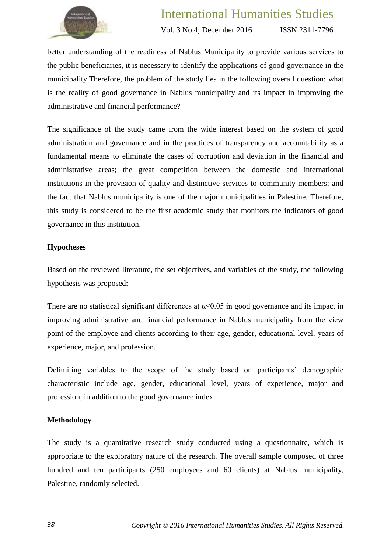

ISSN 2311-7796

better understanding of the readiness of Nablus Municipality to provide various services to the public beneficiaries, it is necessary to identify the applications of good governance in the municipality.Therefore, the problem of the study lies in the following overall question: what is the reality of good governance in Nablus municipality and its impact in improving the administrative and financial performance?

The significance of the study came from the wide interest based on the system of good administration and governance and in the practices of transparency and accountability as a fundamental means to eliminate the cases of corruption and deviation in the financial and administrative areas; the great competition between the domestic and international institutions in the provision of quality and distinctive services to community members; and the fact that Nablus municipality is one of the major municipalities in Palestine. Therefore, this study is considered to be the first academic study that monitors the indicators of good governance in this institution.

## **Hypotheses**

Based on the reviewed literature, the set objectives, and variables of the study, the following hypothesis was proposed:

There are no statistical significant differences at  $\alpha \leq 0.05$  in good governance and its impact in improving administrative and financial performance in Nablus municipality from the view point of the employee and clients according to their age, gender, educational level, years of experience, major, and profession.

Delimiting variables to the scope of the study based on participants' demographic characteristic include age, gender, educational level, years of experience, major and profession, in addition to the good governance index.

## **Methodology**

The study is a quantitative research study conducted using a questionnaire, which is appropriate to the exploratory nature of the research. The overall sample composed of three hundred and ten participants (250 employees and 60 clients) at Nablus municipality, Palestine, randomly selected.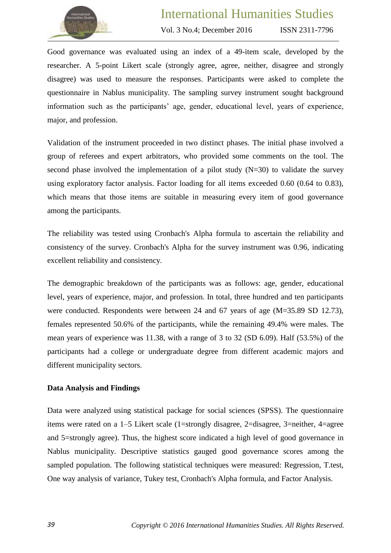

ISSN 2311-7796

Good governance was evaluated using an index of a 49-item scale, developed by the researcher. A 5-point Likert scale (strongly agree, agree, neither, disagree and strongly disagree) was used to measure the responses. Participants were asked to complete the questionnaire in Nablus municipality. The sampling survey instrument sought background information such as the participants' age, gender, educational level, years of experience, major, and profession.

Validation of the instrument proceeded in two distinct phases. The initial phase involved a group of referees and expert arbitrators, who provided some comments on the tool. The second phase involved the implementation of a pilot study  $(N=30)$  to validate the survey using exploratory factor analysis. Factor loading for all items exceeded 0.60 (0.64 to 0.83), which means that those items are suitable in measuring every item of good governance among the participants.

The reliability was tested using Cronbach's Alpha formula to ascertain the reliability and consistency of the survey. Cronbach's Alpha for the survey instrument was 0.96, indicating excellent reliability and consistency.

The demographic breakdown of the participants was as follows: age, gender, educational level, years of experience, major, and profession. In total, three hundred and ten participants were conducted. Respondents were between 24 and 67 years of age (M=35.89 SD 12.73), females represented 50.6% of the participants, while the remaining 49.4% were males. The mean years of experience was 11.38, with a range of 3 to 32 (SD 6.09). Half (53.5%) of the participants had a college or undergraduate degree from different academic majors and different municipality sectors.

#### **Data Analysis and Findings**

Data were analyzed using statistical package for social sciences (SPSS). The questionnaire items were rated on a 1–5 Likert scale (1=strongly disagree, 2=disagree, 3=neither, 4=agree and 5=strongly agree). Thus, the highest score indicated a high level of good governance in Nablus municipality. Descriptive statistics gauged good governance scores among the sampled population. The following statistical techniques were measured: Regression, T.test, One way analysis of variance, Tukey test, Cronbach's Alpha formula, and Factor Analysis.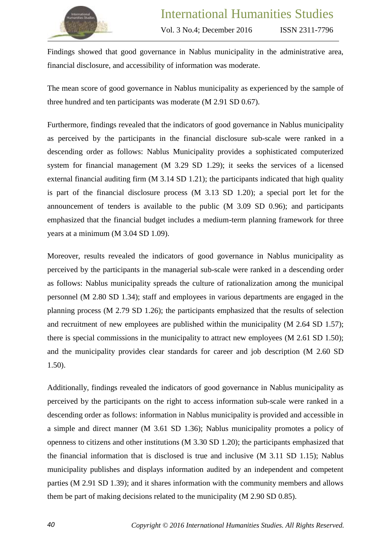

ISSN 2311-7796

Findings showed that good governance in Nablus municipality in the administrative area, financial disclosure, and accessibility of information was moderate.

The mean score of good governance in Nablus municipality as experienced by the sample of three hundred and ten participants was moderate (M 2.91 SD 0.67).

Furthermore, findings revealed that the indicators of good governance in Nablus municipality as perceived by the participants in the financial disclosure sub-scale were ranked in a descending order as follows: Nablus Municipality provides a sophisticated computerized system for financial management (M 3.29 SD 1.29); it seeks the services of a licensed external financial auditing firm (M 3.14 SD 1.21); the participants indicated that high quality is part of the financial disclosure process (M 3.13 SD 1.20); a special port let for the announcement of tenders is available to the public (M 3.09 SD 0.96); and participants emphasized that the financial budget includes a medium-term planning framework for three years at a minimum (M 3.04 SD 1.09).

Moreover, results revealed the indicators of good governance in Nablus municipality as perceived by the participants in the managerial sub-scale were ranked in a descending order as follows: Nablus municipality spreads the culture of rationalization among the municipal personnel (M 2.80 SD 1.34); staff and employees in various departments are engaged in the planning process (M 2.79 SD 1.26); the participants emphasized that the results of selection and recruitment of new employees are published within the municipality (M 2.64 SD 1.57); there is special commissions in the municipality to attract new employees (M 2.61 SD 1.50); and the municipality provides clear standards for career and job description (M 2.60 SD 1.50).

Additionally, findings revealed the indicators of good governance in Nablus municipality as perceived by the participants on the right to access information sub-scale were ranked in a descending order as follows: information in Nablus municipality is provided and accessible in a simple and direct manner (M 3.61 SD 1.36); Nablus municipality promotes a policy of openness to citizens and other institutions (M 3.30 SD 1.20); the participants emphasized that the financial information that is disclosed is true and inclusive (M 3.11 SD 1.15); Nablus municipality publishes and displays information audited by an independent and competent parties (M 2.91 SD 1.39); and it shares information with the community members and allows them be part of making decisions related to the municipality (M 2.90 SD 0.85).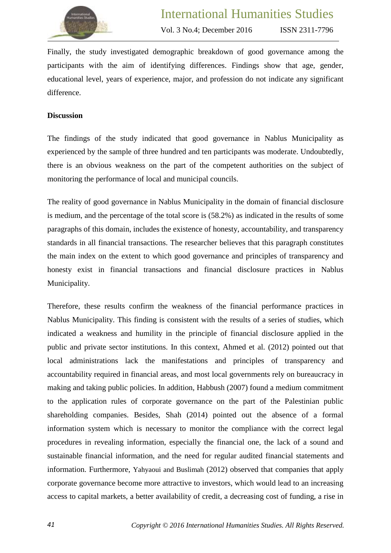

ISSN 2311-7796

Finally, the study investigated demographic breakdown of good governance among the participants with the aim of identifying differences. Findings show that age, gender, educational level, years of experience, major, and profession do not indicate any significant difference.

#### **Discussion**

The findings of the study indicated that good governance in Nablus Municipality as experienced by the sample of three hundred and ten participants was moderate. Undoubtedly, there is an obvious weakness on the part of the competent authorities on the subject of monitoring the performance of local and municipal councils.

The reality of good governance in Nablus Municipality in the domain of financial disclosure is medium, and the percentage of the total score is (58.2%) as indicated in the results of some paragraphs of this domain, includes the existence of honesty, accountability, and transparency standards in all financial transactions. The researcher believes that this paragraph constitutes the main index on the extent to which good governance and principles of transparency and honesty exist in financial transactions and financial disclosure practices in Nablus Municipality.

Therefore, these results confirm the weakness of the financial performance practices in Nablus Municipality. This finding is consistent with the results of a series of studies, which indicated a weakness and humility in the principle of financial disclosure applied in the public and private sector institutions. In this context, Ahmed et al. (2012) pointed out that local administrations lack the manifestations and principles of transparency and accountability required in financial areas, and most local governments rely on bureaucracy in making and taking public policies. In addition, Habbush (2007) found a medium commitment to the application rules of corporate governance on the part of the Palestinian public shareholding companies. Besides, Shah (2014) pointed out the absence of a formal information system which is necessary to monitor the compliance with the correct legal procedures in revealing information, especially the financial one, the lack of a sound and sustainable financial information, and the need for regular audited financial statements and information. Furthermore, Yahyaoui and Buslimah (2012) observed that companies that apply corporate governance become more attractive to investors, which would lead to an increasing access to capital markets, a better availability of credit, a decreasing cost of funding, a rise in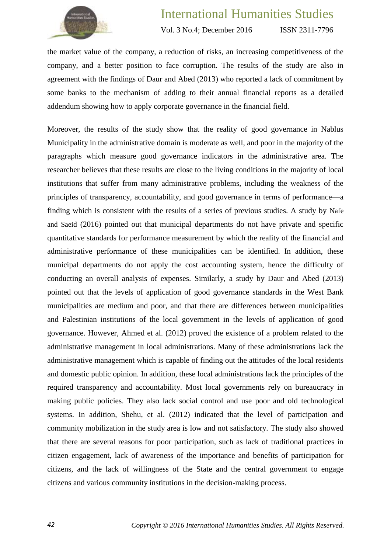

ISSN 2311-7796

the market value of the company, a reduction of risks, an increasing competitiveness of the company, and a better position to face corruption. The results of the study are also in agreement with the findings of Daur and Abed (2013) who reported a lack of commitment by some banks to the mechanism of adding to their annual financial reports as a detailed addendum showing how to apply corporate governance in the financial field.

Moreover, the results of the study show that the reality of good governance in Nablus Municipality in the administrative domain is moderate as well, and poor in the majority of the paragraphs which measure good governance indicators in the administrative area. The researcher believes that these results are close to the living conditions in the majority of local institutions that suffer from many administrative problems, including the weakness of the principles of transparency, accountability, and good governance in terms of performance—a finding which is consistent with the results of a series of previous studies. A study by Nafe and Saeid (2016) pointed out that municipal departments do not have private and specific quantitative standards for performance measurement by which the reality of the financial and administrative performance of these municipalities can be identified. In addition, these municipal departments do not apply the cost accounting system, hence the difficulty of conducting an overall analysis of expenses. Similarly, a study by Daur and Abed (2013) pointed out that the levels of application of good governance standards in the West Bank municipalities are medium and poor, and that there are differences between municipalities and Palestinian institutions of the local government in the levels of application of good governance. However, Ahmed et al. (2012) proved the existence of a problem related to the administrative management in local administrations. Many of these administrations lack the administrative management which is capable of finding out the attitudes of the local residents and domestic public opinion. In addition, these local administrations lack the principles of the required transparency and accountability. Most local governments rely on bureaucracy in making public policies. They also lack social control and use poor and old technological systems. In addition, Shehu, et al. (2012) indicated that the level of participation and community mobilization in the study area is low and not satisfactory. The study also showed that there are several reasons for poor participation, such as lack of traditional practices in citizen engagement, lack of awareness of the importance and benefits of participation for citizens, and the lack of willingness of the State and the central government to engage citizens and various community institutions in the decision-making process.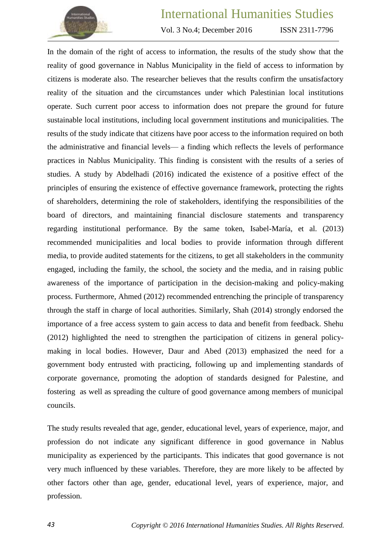

Vol. 3 No.4; December 2016

ISSN 2311-7796

In the domain of the right of access to information, the results of the study show that the reality of good governance in Nablus Municipality in the field of access to information by citizens is moderate also. The researcher believes that the results confirm the unsatisfactory reality of the situation and the circumstances under which Palestinian local institutions operate. Such current poor access to information does not prepare the ground for future sustainable local institutions, including local government institutions and municipalities. The results of the study indicate that citizens have poor access to the information required on both the administrative and financial levels— a finding which reflects the levels of performance practices in Nablus Municipality. This finding is consistent with the results of a series of studies. A study by Abdelhadi (2016) indicated the existence of a positive effect of the principles of ensuring the existence of effective governance framework, protecting the rights of shareholders, determining the role of stakeholders, identifying the responsibilities of the board of directors, and maintaining financial disclosure statements and transparency regarding institutional performance. By the same token, Isabel-María, et al. (2013) recommended municipalities and local bodies to provide information through different media, to provide audited statements for the citizens, to get all stakeholders in the community engaged, including the family, the school, the society and the media, and in raising public awareness of the importance of participation in the decision-making and policy-making process. Furthermore, Ahmed (2012) recommended entrenching the principle of transparency through the staff in charge of local authorities. Similarly, Shah (2014) strongly endorsed the importance of a free access system to gain access to data and benefit from feedback. Shehu (2012) highlighted the need to strengthen the participation of citizens in general policymaking in local bodies. However, Daur and Abed (2013) emphasized the need for a government body entrusted with practicing, following up and implementing standards of corporate governance, promoting the adoption of standards designed for Palestine, and fostering as well as spreading the culture of good governance among members of municipal councils.

The study results revealed that age, gender, educational level, years of experience, major, and profession do not indicate any significant difference in good governance in Nablus municipality as experienced by the participants. This indicates that good governance is not very much influenced by these variables. Therefore, they are more likely to be affected by other factors other than age, gender, educational level, years of experience, major, and profession.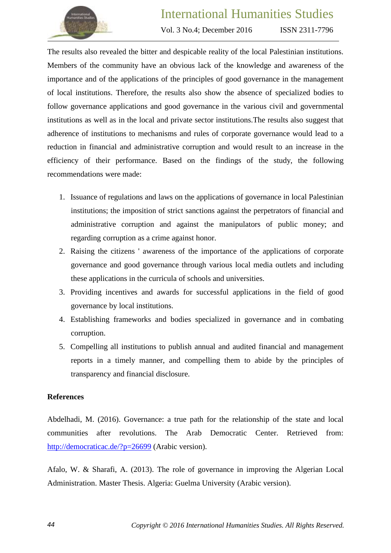

Vol. 3 No.4; December 2016

ISSN 2311-7796

The results also revealed the bitter and despicable reality of the local Palestinian institutions. Members of the community have an obvious lack of the knowledge and awareness of the importance and of the applications of the principles of good governance in the management of local institutions. Therefore, the results also show the absence of specialized bodies to follow governance applications and good governance in the various civil and governmental institutions as well as in the local and private sector institutions.The results also suggest that adherence of institutions to mechanisms and rules of corporate governance would lead to a reduction in financial and administrative corruption and would result to an increase in the efficiency of their performance. Based on the findings of the study, the following recommendations were made:

- 1. Issuance of regulations and laws on the applications of governance in local Palestinian institutions; the imposition of strict sanctions against the perpetrators of financial and administrative corruption and against the manipulators of public money; and regarding corruption as a crime against honor.
- 2. Raising the citizens ' awareness of the importance of the applications of corporate governance and good governance through various local media outlets and including these applications in the curricula of schools and universities.
- 3. Providing incentives and awards for successful applications in the field of good governance by local institutions.
- 4. Establishing frameworks and bodies specialized in governance and in combating corruption.
- 5. Compelling all institutions to publish annual and audited financial and management reports in a timely manner, and compelling them to abide by the principles of transparency and financial disclosure.

## **References**

Abdelhadi, M. (2016). Governance: a true path for the relationship of the state and local communities after revolutions. The Arab Democratic Center. Retrieved from: [http://democraticac.de/?p=26699](http://www.google.com/url?q=http%3A%2F%2Fdemocraticac.de%2F%3Fp%3D26699&sa=D&sntz=1&usg=AFQjCNFnCpBvv1ByNGFWsJ_UsR_OQqljfg) (Arabic version).

Afalo, W. & Sharafi, A. (2013). The role of governance in improving the Algerian Local Administration. Master Thesis. Algeria: Guelma University (Arabic version).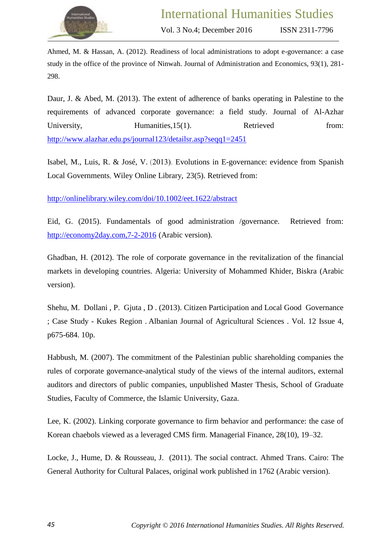

Ahmed, M. & Hassan, A. (2012). Readiness of local administrations to adopt e-governance: a case study in the office of the province of Ninwah. Journal of Administration and Economics, 93(1), 281- 298.

Daur, J. & Abed, M. (2013). The extent of adherence of banks operating in Palestine to the requirements of advanced corporate governance: a field study. Journal of Al-Azhar University, Humanities, 15(1). Retrieved from: <http://www.alazhar.edu.ps/journal123/detailsr.asp?seqq1=2451>

Isabel, M., Luis, R. & José, V. (2013). Evolutions in [E-governance:](http://onlinelibrary.wiley.com/doi/10.1002/eet.1622/abstract) evidence from Spanish Local [Governments,](http://onlinelibrary.wiley.com/doi/10.1002/eet.1622/abstract) Wiley Online Library, 23(5). Retrieved from:

<http://onlinelibrary.wiley.com/doi/10.1002/eet.1622/abstract>

Eid, G. (2015). Fundamentals of good administration /governance. Retrieved from: [http://economy2day.com,7-2-2016](http://economy2day.com,7-2-2016/(عربي)) (Arabic version).

Ghadban, H. (2012). The role of corporate governance in the revitalization of the financial markets in developing countries. Algeria: University of Mohammed Khider, Biskra (Arabic version).

Shehu, M. Dollani , P. Gjuta , D . (2013). Citizen Participation and Local Good Governance ; Case Study - Kukes Region . Albanian Journal of Agricultural Sciences . Vol. 12 Issue 4, p675-684. 10p.

Habbush, M. (2007). The commitment of the Palestinian public shareholding companies the rules of corporate governance-analytical study of the views of the internal auditors, external auditors and directors of public companies, unpublished Master Thesis, School of Graduate Studies, Faculty of Commerce, the Islamic University, Gaza.

Lee, K. (2002). Linking corporate governance to firm behavior and performance: the case of Korean chaebols viewed as a leveraged CMS firm. Managerial Finance, 28(10), 19–32.

Locke, J., Hume, D. & Rousseau, J. (2011). The social contract. Ahmed Trans. Cairo: The General Authority for Cultural Palaces, original work published in 1762 (Arabic version).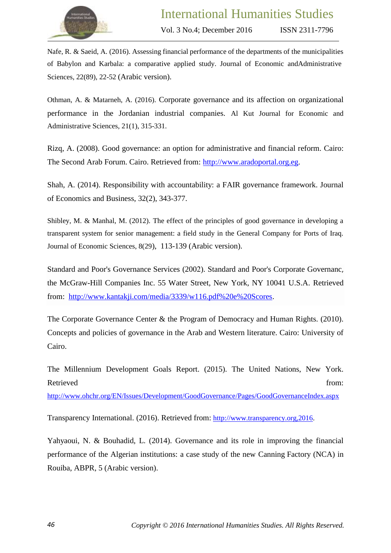

Nafe, R. & Saeid, A. (2016). Assessing financial performance of the departments of the municipalities of Babylon and Karbala: a comparative applied study. Journal of Economic andAdministrative Sciences, 22(89), 22-52 (Arabic version).

Othman, A. & Matarneh, A. (2016). Corporate governance and its affection on organizational performance in the Jordanian industrial companies. Al Kut Journal for Economic and Administrative Sciences, 21(1), 315-331.

Rizq, A. (2008). Good governance: an option for administrative and financial reform. Cairo: The Second Arab Forum. Cairo. Retrieved from: [http://www.aradoportal.org.eg.](http://www.aradoportal.org.eg/)

Shah, A. (2014). Responsibility with accountability: a FAIR governance framework. Journal of Economics and Business, 32(2), 343-377.

Shibley, M. & Manhal, M. (2012). The effect of the principles of good governance in developing a transparent system for senior management: a field study in the General Company for Ports of Iraq. Journal of Economic Sciences, 8(29), 113-139 (Arabic version).

Standard and Poor's Governance Services (2002). Standard and Poor's Corporate Governanc, the McGraw-Hill Companies Inc. 55 Water Street, New York, NY 10041 U.S.A. Retrieved from: [http://www.kantakji.com/media/3339/w116.pdf%20e%20Scores.](http://www.kantakji.com/media/3339/w116.pdf%20e%20Scores)

The Corporate Governance Center & the Program of Democracy and Human Rights. (2010). Concepts and policies of governance in the Arab and Western literature. Cairo: University of Cairo.

The Millennium Development Goals Report. (2015). The United Nations, New York. Retrieved from:

<http://www.ohchr.org/EN/Issues/Development/GoodGovernance/Pages/GoodGovernanceIndex.aspx>

Transparency International. (2016). Retrieved from: [http://www.transparency.org,2016.](http://www.transparency.org,2016/)

Yahyaoui, N. & Bouhadid, L. (2014). Governance and its role in improving the financial performance of the Algerian institutions: a case study of the new Canning Factory (NCA) in Rouiba, ABPR, 5 (Arabic version).